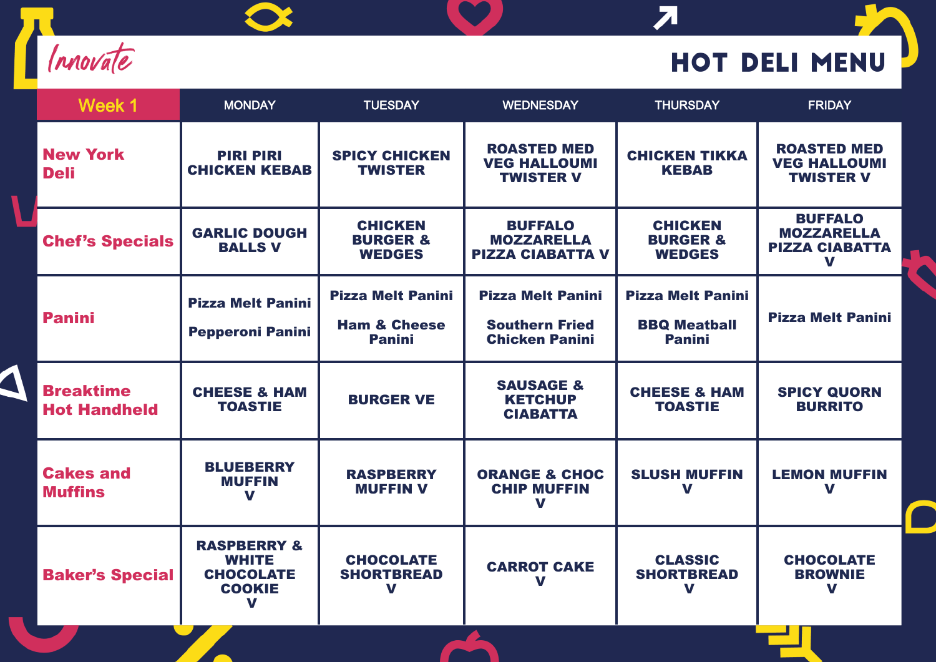

 $\blacktriangleleft$ 

 $\bullet$ 

## **HOT DELI MENU**

 $\overline{\mathbf{z}}$ 

| Week 1                                  | <b>MONDAY</b>                                                               | <b>TUESDAY</b>                                                       | <b>WEDNESDAY</b>                                                           | <b>THURSDAY</b>                                                  | <b>FRIDAY</b>                                                     |
|-----------------------------------------|-----------------------------------------------------------------------------|----------------------------------------------------------------------|----------------------------------------------------------------------------|------------------------------------------------------------------|-------------------------------------------------------------------|
| <b>New York</b><br><b>Deli</b>          | <b>PIRI PIRI</b><br><b>CHICKEN KEBAB</b>                                    | <b>SPICY CHICKEN</b><br><b>TWISTER</b>                               | <b>ROASTED MED</b><br><b>VEG HALLOUMI</b><br><b>TWISTER V</b>              | <b>CHICKEN TIKKA</b><br><b>KEBAB</b>                             | <b>ROASTED MED</b><br><b>VEG HALLOUMI</b><br><b>TWISTER V</b>     |
| <b>Chef's Specials</b>                  | <b>GARLIC DOUGH</b><br><b>BALLS V</b>                                       | <b>CHICKEN</b><br><b>BURGER &amp;</b><br><b>WEDGES</b>               | <b>BUFFALO</b><br><b>MOZZARELLA</b><br><b>PIZZA CIABATTA V</b>             | <b>CHICKEN</b><br><b>BURGER &amp;</b><br><b>WEDGES</b>           | <b>BUFFALO</b><br><b>MOZZARELLA</b><br><b>PIZZA CIABATTA</b><br>V |
| <b>Panini</b>                           | <b>Pizza Melt Panini</b><br><b>Pepperoni Panini</b>                         | <b>Pizza Melt Panini</b><br><b>Ham &amp; Cheese</b><br><b>Panini</b> | <b>Pizza Melt Panini</b><br><b>Southern Fried</b><br><b>Chicken Panini</b> | <b>Pizza Melt Panini</b><br><b>BBQ Meatball</b><br><b>Panini</b> | <b>Pizza Melt Panini</b>                                          |
| <b>Breaktime</b><br><b>Hot Handheld</b> | <b>CHEESE &amp; HAM</b><br><b>TOASTIE</b>                                   | <b>BURGER VE</b>                                                     | <b>SAUSAGE &amp;</b><br><b>KETCHUP</b><br><b>CIABATTA</b>                  | <b>CHEESE &amp; HAM</b><br><b>TOASTIE</b>                        | <b>SPICY QUORN</b><br><b>BURRITO</b>                              |
| <b>Cakes and</b><br><b>Muffins</b>      | <b>BLUEBERRY</b><br><b>MUFFIN</b><br>V                                      | <b>RASPBERRY</b><br><b>MUFFIN V</b>                                  | <b>ORANGE &amp; CHOC</b><br><b>CHIP MUFFIN</b><br>V                        | <b>SLUSH MUFFIN</b><br>V                                         | <b>LEMON MUFFIN</b><br>V                                          |
| <b>Baker's Special</b>                  | <b>RASPBERRY &amp;</b><br><b>WHITE</b><br><b>CHOCOLATE</b><br><b>COOKIE</b> | <b>CHOCOLATE</b><br><b>SHORTBREAD</b><br>V                           | <b>CARROT CAKE</b><br>V                                                    | <b>CLASSIC</b><br><b>SHORTBREAD</b><br>V                         | <b>CHOCOLATE</b><br><b>BROWNIE</b><br>V                           |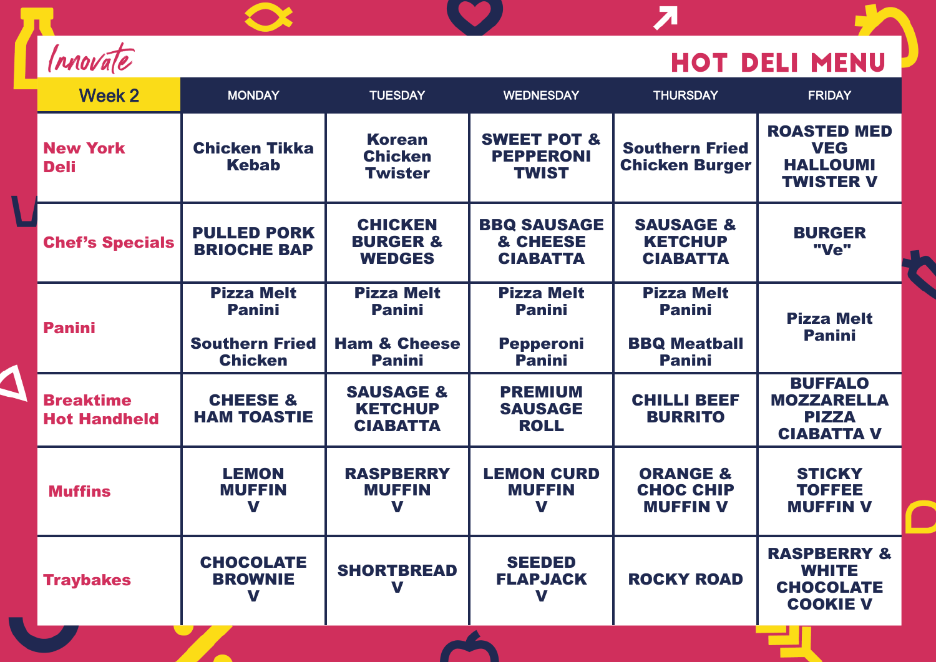| rnovale |
|---------|
|---------|

 $\overline{\Delta}$ 

## HOT DELI MENU

 $\overline{\mathbf{z}}$ 

| Week 2                                  | <b>MONDAY</b>                             | <b>TUESDAY</b>                                            | <b>WEDNESDAY</b>                                           | <b>THURSDAY</b>                                            | <b>FRIDAY</b>                                                                        |
|-----------------------------------------|-------------------------------------------|-----------------------------------------------------------|------------------------------------------------------------|------------------------------------------------------------|--------------------------------------------------------------------------------------|
| <b>New York</b><br><b>Deli</b>          | <b>Chicken Tikka</b><br><b>Kebab</b>      | <b>Korean</b><br><b>Chicken</b><br><b>Twister</b>         | <b>SWEET POT &amp;</b><br><b>PEPPERONI</b><br><b>TWIST</b> | <b>Southern Fried</b><br><b>Chicken Burger</b>             | <b>ROASTED MED</b><br><b>VEG</b><br><b>HALLOUMI</b><br><b>TWISTER V</b>              |
| <b>Chef's Specials</b>                  | <b>PULLED PORK</b><br><b>BRIOCHE BAP</b>  | <b>CHICKEN</b><br><b>BURGER &amp;</b><br><b>WEDGES</b>    | <b>BBQ SAUSAGE</b><br>& CHEESE<br><b>CIABATTA</b>          | <b>SAUSAGE &amp;</b><br><b>KETCHUP</b><br><b>CIABATTA</b>  | <b>BURGER</b><br>"Ve"                                                                |
| <b>Panini</b>                           | <b>Pizza Melt</b><br><b>Panini</b>        | <b>Pizza Melt</b><br><b>Panini</b>                        | <b>Pizza Melt</b><br><b>Panini</b>                         | <b>Pizza Melt</b><br><b>Panini</b>                         | <b>Pizza Melt</b><br><b>Panini</b>                                                   |
|                                         | <b>Southern Fried</b><br><b>Chicken</b>   | <b>Ham &amp; Cheese</b><br><b>Panini</b>                  | <b>Pepperoni</b><br><b>Panini</b>                          | <b>BBQ Meatball</b><br><b>Panini</b>                       |                                                                                      |
| <b>Breaktime</b><br><b>Hot Handheld</b> | <b>CHEESE &amp;</b><br><b>HAM TOASTIE</b> | <b>SAUSAGE &amp;</b><br><b>KETCHUP</b><br><b>CIABATTA</b> | <b>PREMIUM</b><br><b>SAUSAGE</b><br><b>ROLL</b>            | <b>CHILLI BEEF</b><br><b>BURRITO</b>                       | <b>BUFFALO</b><br><b>MOZZARELLA</b><br><b>PIZZA</b><br><b>CIABATTA V</b>             |
| <b>Muffins</b>                          | <b>LEMON</b><br><b>MUFFIN</b><br>V        | <b>RASPBERRY</b><br><b>MUFFIN</b><br>V                    | <b>LEMON CURD</b><br><b>MUFFIN</b><br>V                    | <b>ORANGE &amp;</b><br><b>CHOC CHIP</b><br><b>MUFFIN V</b> | <b>STICKY</b><br><b>TOFFEE</b><br><b>MUFFIN V</b>                                    |
| <b>Traybakes</b>                        | <b>CHOCOLATE</b><br><b>BROWNIE</b><br>V   | <b>SHORTBREAD</b><br>V                                    | <b>SEEDED</b><br><b>FLAPJACK</b><br>V                      | <b>ROCKY ROAD</b>                                          | <b>RASPBERRY &amp;</b><br><b>WHITE</b><br><b>CHOCOLATE</b><br><b>COOKIE V</b><br>. . |

**DA**